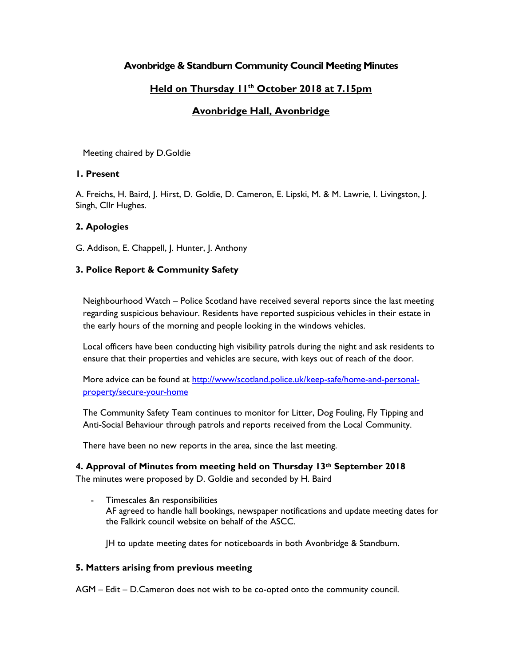# **Avonbridge & Standburn Community Council Meeting Minutes**

# **Held on Thursday 11th October 2018 at 7.15pm**

# **Avonbridge Hall, Avonbridge**

Meeting chaired by D.Goldie

## **1. Present**

A. Freichs, H. Baird, J. Hirst, D. Goldie, D. Cameron, E. Lipski, M. & M. Lawrie, I. Livingston, J. Singh, Cllr Hughes.

## **2. Apologies**

G. Addison, E. Chappell, J. Hunter, J. Anthony

## **3. Police Report & Community Safety**

Neighbourhood Watch – Police Scotland have received several reports since the last meeting regarding suspicious behaviour. Residents have reported suspicious vehicles in their estate in the early hours of the morning and people looking in the windows vehicles.

Local officers have been conducting high visibility patrols during the night and ask residents to ensure that their properties and vehicles are secure, with keys out of reach of the door.

More advice can be found at [http://www/scotland.police.uk/keep-safe/home-and-personal](http://www/scotland.police.uk/keep-safe/home-and-personal-property/secure-your-home)[property/secure-your-home](http://www/scotland.police.uk/keep-safe/home-and-personal-property/secure-your-home)

The Community Safety Team continues to monitor for Litter, Dog Fouling, Fly Tipping and Anti-Social Behaviour through patrols and reports received from the Local Community.

There have been no new reports in the area, since the last meeting.

**4. Approval of Minutes from meeting held on Thursday 13th September 2018**

The minutes were proposed by D. Goldie and seconded by H. Baird

- Timescales &n responsibilities AF agreed to handle hall bookings, newspaper notifications and update meeting dates for the Falkirk council website on behalf of the ASCC.

JH to update meeting dates for noticeboards in both Avonbridge & Standburn.

### **5. Matters arising from previous meeting**

AGM – Edit – D.Cameron does not wish to be co-opted onto the community council.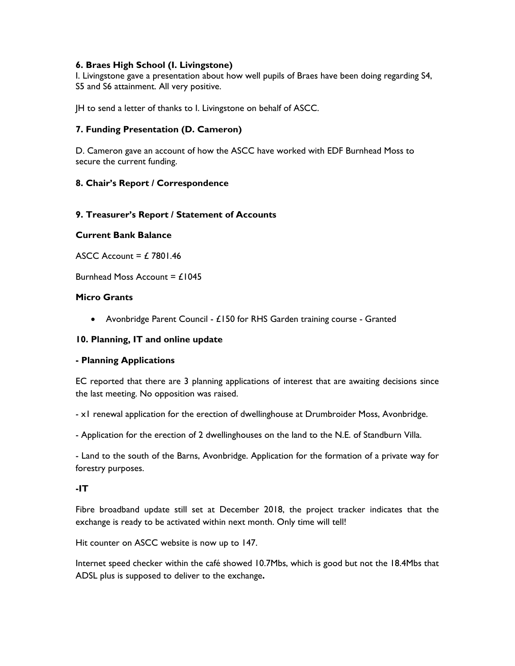## **6. Braes High School (I. Livingstone)**

I. Livingstone gave a presentation about how well pupils of Braes have been doing regarding S4, S5 and S6 attainment. All very positive.

JH to send a letter of thanks to I. Livingstone on behalf of ASCC.

## **7. Funding Presentation (D. Cameron)**

D. Cameron gave an account of how the ASCC have worked with EDF Burnhead Moss to secure the current funding.

### **8. Chair's Report / Correspondence**

### **9. Treasurer's Report / Statement of Accounts**

### **Current Bank Balance**

ASCC Account =  $£ 7801.46$ 

Burnhead Moss Account =  $£1045$ 

### **Micro Grants**

• Avonbridge Parent Council - £150 for RHS Garden training course - Granted

### **10. Planning, IT and online update**

### **- Planning Applications**

EC reported that there are 3 planning applications of interest that are awaiting decisions since the last meeting. No opposition was raised.

- x1 renewal application for the erection of dwellinghouse at Drumbroider Moss, Avonbridge.

- Application for the erection of 2 dwellinghouses on the land to the N.E. of Standburn Villa.

- Land to the south of the Barns, Avonbridge. Application for the formation of a private way for forestry purposes.

### **-IT**

Fibre broadband update still set at December 2018, the project tracker indicates that the exchange is ready to be activated within next month. Only time will tell!

Hit counter on ASCC website is now up to 147.

Internet speed checker within the café showed 10.7Mbs, which is good but not the 18.4Mbs that ADSL plus is supposed to deliver to the exchange**.**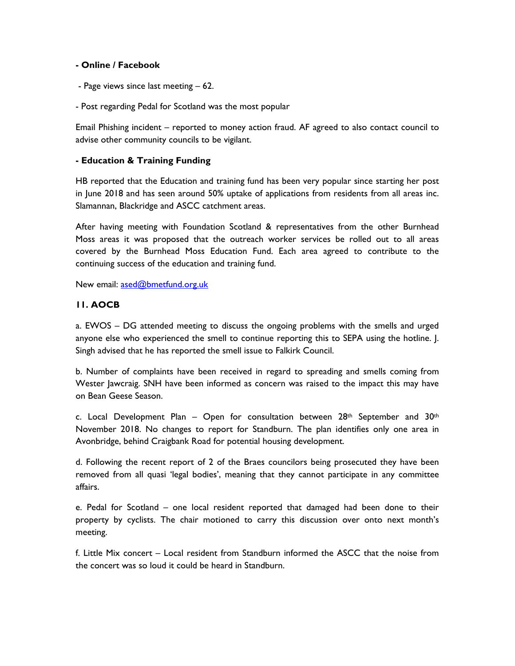### **- Online / Facebook**

- Page views since last meeting 62.
- Post regarding Pedal for Scotland was the most popular

Email Phishing incident – reported to money action fraud. AF agreed to also contact council to advise other community councils to be vigilant.

## **- Education & Training Funding**

HB reported that the Education and training fund has been very popular since starting her post in June 2018 and has seen around 50% uptake of applications from residents from all areas inc. Slamannan, Blackridge and ASCC catchment areas.

After having meeting with Foundation Scotland & representatives from the other Burnhead Moss areas it was proposed that the outreach worker services be rolled out to all areas covered by the Burnhead Moss Education Fund. Each area agreed to contribute to the continuing success of the education and training fund.

New email: [ased@bmetfund.org.uk](mailto:ased@bmetfund.org.uk)

## **11. AOCB**

a. EWOS – DG attended meeting to discuss the ongoing problems with the smells and urged anyone else who experienced the smell to continue reporting this to SEPA using the hotline. J. Singh advised that he has reported the smell issue to Falkirk Council.

b. Number of complaints have been received in regard to spreading and smells coming from Wester Jawcraig. SNH have been informed as concern was raised to the impact this may have on Bean Geese Season.

c. Local Development Plan – Open for consultation between  $28<sup>th</sup>$  September and  $30<sup>th</sup>$ November 2018. No changes to report for Standburn. The plan identifies only one area in Avonbridge, behind Craigbank Road for potential housing development.

d. Following the recent report of 2 of the Braes councilors being prosecuted they have been removed from all quasi 'legal bodies', meaning that they cannot participate in any committee affairs.

e. Pedal for Scotland – one local resident reported that damaged had been done to their property by cyclists. The chair motioned to carry this discussion over onto next month's meeting.

f. Little Mix concert – Local resident from Standburn informed the ASCC that the noise from the concert was so loud it could be heard in Standburn.